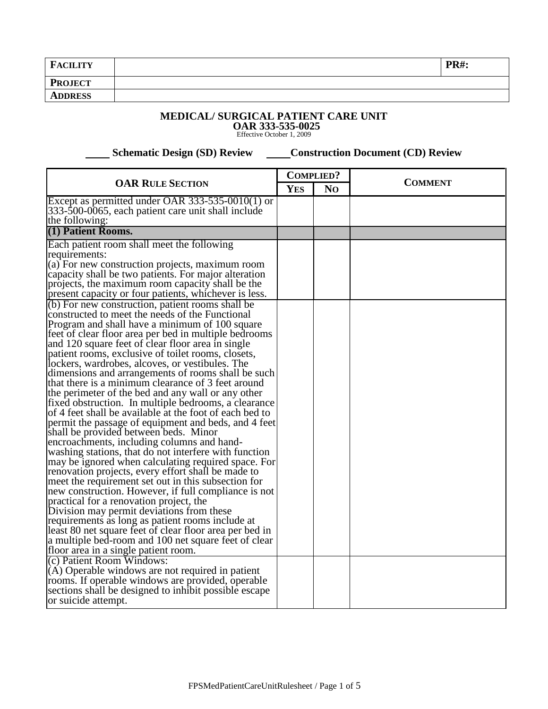| FA<br><b>CILITY</b> | <b>PR#:</b> |
|---------------------|-------------|
| <b>PROJECT</b>      |             |
| <b>ADDRESS</b>      |             |

## **MEDICAL/ SURGICAL PATIENT CARE UNIT**

**OAR 333-535-0025** Effective October 1, 2009

 **Schematic Design (SD) Review Construction Document (CD) Review** 

| <b>OAR RULE SECTION</b>                                                                                   |            | <b>COMPLIED?</b> |                |  |
|-----------------------------------------------------------------------------------------------------------|------------|------------------|----------------|--|
|                                                                                                           |            | N <sub>O</sub>   | <b>COMMENT</b> |  |
| Except as permitted under OAR $333-535-0010(1)$ or                                                        | <b>YES</b> |                  |                |  |
| 333-500-0065, each patient care unit shall include                                                        |            |                  |                |  |
| the following:                                                                                            |            |                  |                |  |
| (1) Patient Rooms.                                                                                        |            |                  |                |  |
| Each patient room shall meet the following                                                                |            |                  |                |  |
| requirements:                                                                                             |            |                  |                |  |
| (a) For new construction projects, maximum room                                                           |            |                  |                |  |
| capacity shall be two patients. For major alteration                                                      |            |                  |                |  |
| projects, the maximum room capacity shall be the                                                          |            |                  |                |  |
| present capacity or four patients, whichever is less.<br>(b) For new construction, patient rooms shall be |            |                  |                |  |
| constructed to meet the needs of the Functional                                                           |            |                  |                |  |
| Program and shall have a minimum of 100 square                                                            |            |                  |                |  |
| feet of clear floor area per bed in multiple bedrooms                                                     |            |                  |                |  |
| and 120 square feet of clear floor area in single                                                         |            |                  |                |  |
| patient rooms, exclusive of toilet rooms, closets,                                                        |            |                  |                |  |
| lockers, wardrobes, alcoves, or vestibules. The                                                           |            |                  |                |  |
| dimensions and arrangements of rooms shall be such                                                        |            |                  |                |  |
| that there is a minimum clearance of 3 feet around                                                        |            |                  |                |  |
| the perimeter of the bed and any wall or any other                                                        |            |                  |                |  |
| fixed obstruction. In multiple bedrooms, a clearance                                                      |            |                  |                |  |
| of 4 feet shall be available at the foot of each bed to                                                   |            |                  |                |  |
| permit the passage of equipment and beds, and 4 feet<br>shall be provided between beds. Minor             |            |                  |                |  |
| encroachments, including columns and hand-                                                                |            |                  |                |  |
| washing stations, that do not interfere with function                                                     |            |                  |                |  |
| may be ignored when calculating required space. For                                                       |            |                  |                |  |
| renovation projects, every effort shall be made to                                                        |            |                  |                |  |
| meet the requirement set out in this subsection for                                                       |            |                  |                |  |
| new construction. However, if full compliance is not                                                      |            |                  |                |  |
| practical for a renovation project, the                                                                   |            |                  |                |  |
| Division may permit deviations from these                                                                 |            |                  |                |  |
| requirements as long as patient rooms include at                                                          |            |                  |                |  |
| least 80 net square feet of clear floor area per bed in                                                   |            |                  |                |  |
| a multiple bed-room and 100 net square feet of clear                                                      |            |                  |                |  |
| floor area in a single patient room.<br>(c) Patient Room Windows:                                         |            |                  |                |  |
|                                                                                                           |            |                  |                |  |
| $(A)$ Operable windows are not required in patient<br>rooms. If operable windows are provided, operable   |            |                  |                |  |
| sections shall be designed to inhibit possible escape                                                     |            |                  |                |  |
| or suicide attempt.                                                                                       |            |                  |                |  |
|                                                                                                           |            |                  |                |  |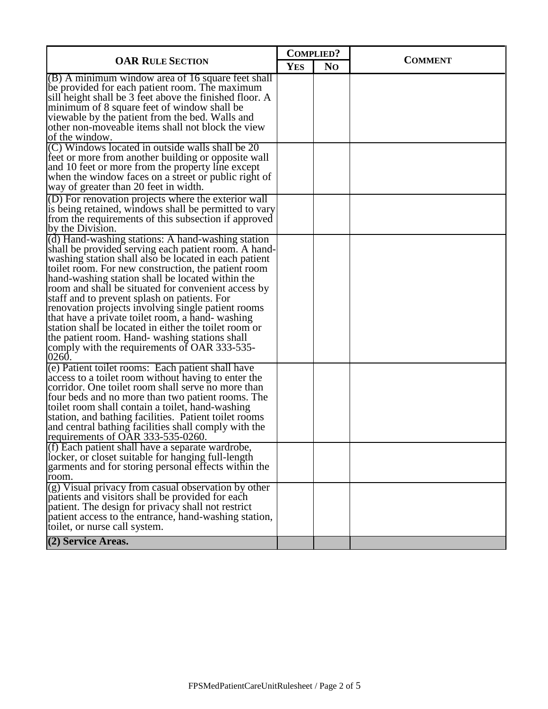| <b>OAR RULE SECTION</b>                                                                                                                                                                                                                                                                                                                                                                                                                                                                                                                                                                                                                                          |  | <b>COMPLIED?</b> |                |
|------------------------------------------------------------------------------------------------------------------------------------------------------------------------------------------------------------------------------------------------------------------------------------------------------------------------------------------------------------------------------------------------------------------------------------------------------------------------------------------------------------------------------------------------------------------------------------------------------------------------------------------------------------------|--|------------------|----------------|
|                                                                                                                                                                                                                                                                                                                                                                                                                                                                                                                                                                                                                                                                  |  | N <sub>O</sub>   | <b>COMMENT</b> |
| $(B)$ A minimum window area of 16 square feet shall<br>be provided for each patient room. The maximum<br>sill height shall be 3 feet above the finished floor. A<br>minimum of 8 square feet of window shall be<br>viewable by the patient from the bed. Walls and<br>other non-moveable items shall not block the view<br>of the window.                                                                                                                                                                                                                                                                                                                        |  |                  |                |
| (C) Windows located in outside walls shall be 20<br>feet or more from another building or opposite wall<br>and 10 feet or more from the property line except<br>when the window faces on a street or public right of<br>way of greater than 20 feet in width.                                                                                                                                                                                                                                                                                                                                                                                                    |  |                  |                |
| (D) For renovation projects where the exterior wall<br>is being retained, windows shall be permitted to vary<br>from the requirements of this subsection if approved<br>by the Division.                                                                                                                                                                                                                                                                                                                                                                                                                                                                         |  |                  |                |
| (d) Hand-washing stations: A hand-washing station<br>shall be provided serving each patient room. A hand-<br>washing station shall also be located in each patient<br>toilet room. For new construction, the patient room<br>hand-washing station shall be located within the<br>room and shall be situated for convenient access by<br>staff and to prevent splash on patients. For<br>renovation projects involving single patient rooms<br>that have a private toilet room, a hand-washing<br>station shall be located in either the toilet room or<br>the patient room. Hand-washing stations shall<br>comply with the requirements of OAR 333-535-<br>0260. |  |                  |                |
| (e) Patient toilet rooms: Each patient shall have<br>access to a toilet room without having to enter the<br>corridor. One toilet room shall serve no more than<br>four beds and no more than two patient rooms. The<br>toilet room shall contain a toilet, hand-washing<br>station, and bathing facilities. Patient toilet rooms<br>and central bathing facilities shall comply with the<br>requirements of OAR 333-535-0260.                                                                                                                                                                                                                                    |  |                  |                |
| (f) Each patient shall have a separate wardrobe,<br>locker, or closet suitable for hanging full-length<br>garments and for storing personal effects within the<br>room.                                                                                                                                                                                                                                                                                                                                                                                                                                                                                          |  |                  |                |
| $(g)$ Visual privacy from casual observation by other<br>patients and visitors shall be provided for each<br>patient. The design for privacy shall not restrict<br>patient access to the entrance, hand-washing station,<br>toilet, or nurse call system.                                                                                                                                                                                                                                                                                                                                                                                                        |  |                  |                |
| (2) Service Areas.                                                                                                                                                                                                                                                                                                                                                                                                                                                                                                                                                                                                                                               |  |                  |                |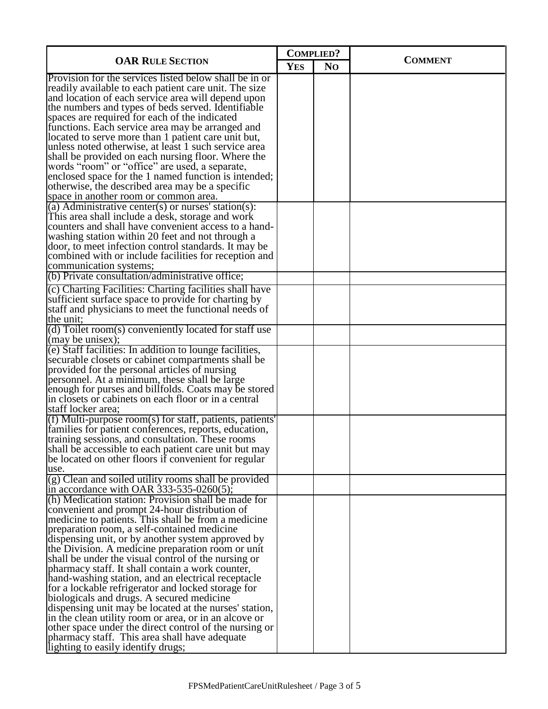| <b>OAR RULE SECTION</b>                                                                                                                                                                                                                                                                                                                                                                                                                                                                                                                                                                                                                                                                                                                                                                                                                                      |            | <b>COMPLIED?</b> |                |
|--------------------------------------------------------------------------------------------------------------------------------------------------------------------------------------------------------------------------------------------------------------------------------------------------------------------------------------------------------------------------------------------------------------------------------------------------------------------------------------------------------------------------------------------------------------------------------------------------------------------------------------------------------------------------------------------------------------------------------------------------------------------------------------------------------------------------------------------------------------|------------|------------------|----------------|
|                                                                                                                                                                                                                                                                                                                                                                                                                                                                                                                                                                                                                                                                                                                                                                                                                                                              |            | N <sub>O</sub>   | <b>COMMENT</b> |
| Provision for the services listed below shall be in or<br>readily available to each patient care unit. The size<br>and location of each service area will depend upon<br>the numbers and types of beds served. Identifiable<br>spaces are required for each of the indicated<br>functions. Each service area may be arranged and<br>located to serve more than 1 patient care unit but,<br>unless noted otherwise, at least 1 such service area<br>shall be provided on each nursing floor. Where the<br>words "room" or "office" are used, a separate,<br>enclosed space for the 1 named function is intended;<br>otherwise, the described area may be a specific<br>space in another room or common area.<br>(a) Administrative center(s) or nurses' station(s):<br>This area shall include a desk, storage and work                                       | <b>YES</b> |                  |                |
| counters and shall have convenient access to a hand-<br>washing station within 20 feet and not through a<br>door, to meet infection control standards. It may be<br>combined with or include facilities for reception and<br>communication systems;<br>(b) Private consultation/administrative office;                                                                                                                                                                                                                                                                                                                                                                                                                                                                                                                                                       |            |                  |                |
| (c) Charting Facilities: Charting facilities shall have                                                                                                                                                                                                                                                                                                                                                                                                                                                                                                                                                                                                                                                                                                                                                                                                      |            |                  |                |
| sufficient surface space to provide for charting by<br>staff and physicians to meet the functional needs of<br>the unit:                                                                                                                                                                                                                                                                                                                                                                                                                                                                                                                                                                                                                                                                                                                                     |            |                  |                |
| (d) Toilet room(s) conveniently located for staff use<br>(may be unisex);                                                                                                                                                                                                                                                                                                                                                                                                                                                                                                                                                                                                                                                                                                                                                                                    |            |                  |                |
| (e) Staff facilities: In addition to lounge facilities,<br>securable closets or cabinet compartments shall be<br>provided for the personal articles of nursing<br>personnel. At a minimum, these shall be large<br>enough for purses and billfolds. Coats may be stored<br>in closets or cabinets on each floor or in a central<br>staff locker area;                                                                                                                                                                                                                                                                                                                                                                                                                                                                                                        |            |                  |                |
| (f) Multi-purpose room(s) for staff, patients, patients'<br>families for patient conferences, reports, education,<br>training sessions, and consultation. These rooms<br>shall be accessible to each patient care unit but may<br>be located on other floors if convenient for regular<br>use.                                                                                                                                                                                                                                                                                                                                                                                                                                                                                                                                                               |            |                  |                |
| (g) Clean and soiled utility rooms shall be provided<br>in accordance with OAR $333-535-0260(5)$ ;                                                                                                                                                                                                                                                                                                                                                                                                                                                                                                                                                                                                                                                                                                                                                           |            |                  |                |
| (h) Medication station: Provision shall be made for<br>convenient and prompt 24-hour distribution of<br>medicine to patients. This shall be from a medicine<br>preparation room, a self-contained medicine<br>dispensing unit, or by another system approved by<br>the Division. A medicine preparation room or unit<br>shall be under the visual control of the nursing or<br>pharmacy staff. It shall contain a work counter,<br>hand-washing station, and an electrical receptacle<br>for a lockable refrigerator and locked storage for<br>biologicals and drugs. A secured medicine<br>dispensing unit may be located at the nurses' station,<br>in the clean utility room or area, or in an alcove or<br>other space under the direct control of the nursing or<br>pharmacy staff. This area shall have adequate<br>lighting to easily identify drugs; |            |                  |                |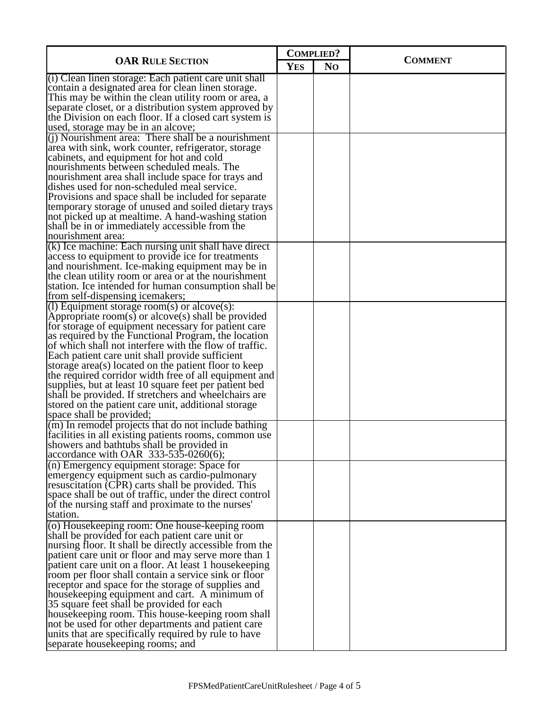| <b>OAR RULE SECTION</b>                                                                                                                                                                                                      |  | <b>COMPLIED?</b> | <b>COMMENT</b> |
|------------------------------------------------------------------------------------------------------------------------------------------------------------------------------------------------------------------------------|--|------------------|----------------|
|                                                                                                                                                                                                                              |  | N <sub>O</sub>   |                |
| (i) Clean linen storage: Each patient care unit shall<br>contain a designated area for clean linen storage.<br>This may be within the clean utility room or area, a<br>separate closet, or a distribution system approved by |  |                  |                |
| the Division on each floor. If a closed cart system is<br>used, storage may be in an alcove;                                                                                                                                 |  |                  |                |
| $(i)$ Nourishment area: There shall be a nourishment<br>area with sink, work counter, refrigerator, storage<br>cabinets, and equipment for hot and cold                                                                      |  |                  |                |
| nourishments between scheduled meals. The<br>nourishment area shall include space for trays and<br>dishes used for non-scheduled meal service.<br>Provisions and space shall be included for separate                        |  |                  |                |
| temporary storage of unused and soiled dietary trays<br>not picked up at mealtime. A hand-washing station<br>shall be in or immediately accessible from the<br>nourishment area:                                             |  |                  |                |
| (k) Ice machine: Each nursing unit shall have direct<br>access to equipment to provide ice for treatments                                                                                                                    |  |                  |                |
| and nourishment. Ice-making equipment may be in<br>the clean utility room or area or at the nourishment<br>station. Ice intended for human consumption shall be                                                              |  |                  |                |
| from self-dispensing icemakers;<br>(1) Equipment storage room(s) or alcove(s):                                                                                                                                               |  |                  |                |
| Appropriate room(s) or alcove(s) shall be provided<br>for storage of equipment necessary for patient care<br>as required by the Functional Program, the location<br>of which shall not interfere with the flow of traffic.   |  |                  |                |
| Each patient care unit shall provide sufficient<br>storage area(s) located on the patient floor to keep<br>the required corridor width free of all equipment and<br>supplies, but at least 10 square feet per patient bed    |  |                  |                |
| shall be provided. If stretchers and wheelchairs are<br>stored on the patient care unit, additional storage<br>space shall be provided;                                                                                      |  |                  |                |
| (m) In remodel projects that do not include bathing<br>facilities in all existing patients rooms, common use<br>showers and bathtubs shall be provided in<br>$\alpha$ accordance with OAR 333-535-0260(6);                   |  |                  |                |
| $(n)$ Emergency equipment storage: Space for<br>emergency equipment such as cardio-pulmonary<br>resuscitation (CPR) carts shall be provided. This<br>space shall be out of traffic, under the direct control                 |  |                  |                |
| of the nursing staff and proximate to the nurses'<br>station.                                                                                                                                                                |  |                  |                |
| (o) Housekeeping room: One house-keeping room<br>shall be provided for each patient care unit or                                                                                                                             |  |                  |                |
| nursing floor. It shall be directly accessible from the<br>patient care unit or floor and may serve more than 1<br>patient care unit on a floor. At least 1 house keeping                                                    |  |                  |                |
| room per floor shall contain a service sink or floor<br>receptor and space for the storage of supplies and<br>housekeeping equipment and cart. A minimum of                                                                  |  |                  |                |
| 35 square feet shall be provided for each<br>housekeeping room. This house-keeping room shall<br>not be used for other departments and patient care                                                                          |  |                  |                |
| units that are specifically required by rule to have<br>separate house keeping rooms; and                                                                                                                                    |  |                  |                |